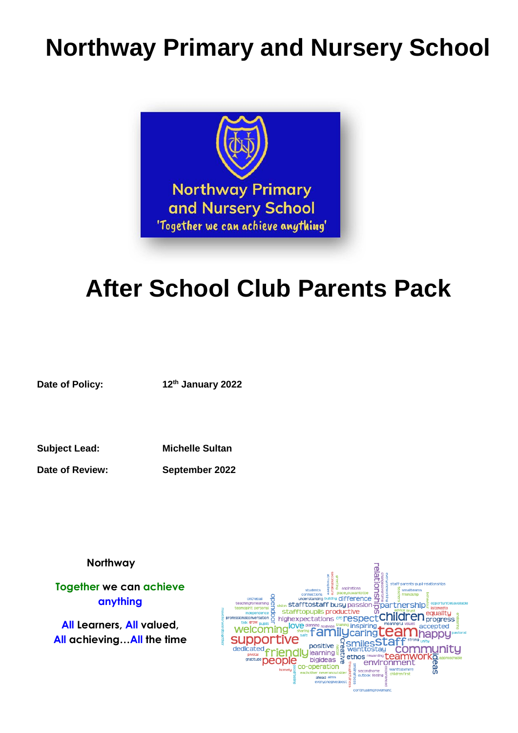# **Northway Primary and Nursery School**



# **After School Club Parents Pack**

**Date of Policy: 12th January 2022**

**Subject Lead: Michelle Sultan**

**Date of Review: September 2022**

 **Northway**

**Together we can achieve anything**

**All Learners, All valued, All achieving…All the time**

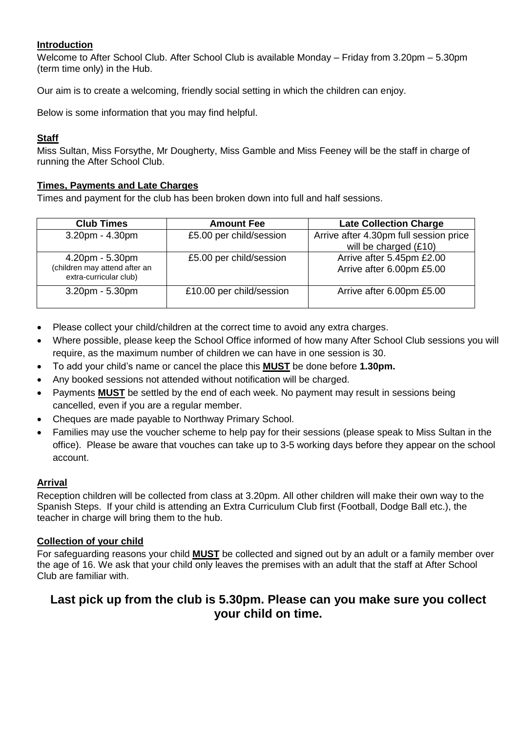## **Introduction**

Welcome to After School Club. After School Club is available Monday – Friday from 3.20pm – 5.30pm (term time only) in the Hub.

Our aim is to create a welcoming, friendly social setting in which the children can enjoy.

Below is some information that you may find helpful.

## **Staff**

Miss Sultan, Miss Forsythe, Mr Dougherty, Miss Gamble and Miss Feeney will be the staff in charge of running the After School Club.

## **Times, Payments and Late Charges**

Times and payment for the club has been broken down into full and half sessions.

| <b>Club Times</b>                                       | <b>Amount Fee</b>        | <b>Late Collection Charge</b>          |
|---------------------------------------------------------|--------------------------|----------------------------------------|
| $3.20$ pm - $4.30$ pm                                   | £5.00 per child/session  | Arrive after 4.30pm full session price |
|                                                         |                          | will be charged (£10)                  |
| $4.20pm - 5.30pm$                                       | £5.00 per child/session  | Arrive after 5.45pm £2.00              |
| (children may attend after an<br>extra-curricular club) |                          | Arrive after 6.00pm £5.00              |
| $3.20$ pm - $5.30$ pm                                   | £10.00 per child/session | Arrive after 6.00pm £5.00              |

- Please collect your child/children at the correct time to avoid any extra charges.
- Where possible, please keep the School Office informed of how many After School Club sessions you will require, as the maximum number of children we can have in one session is 30.
- To add your child's name or cancel the place this **MUST** be done before **1.30pm.**
- Any booked sessions not attended without notification will be charged.
- Payments **MUST** be settled by the end of each week. No payment may result in sessions being cancelled, even if you are a regular member.
- Cheques are made payable to Northway Primary School.
- Families may use the voucher scheme to help pay for their sessions (please speak to Miss Sultan in the office). Please be aware that vouches can take up to 3-5 working days before they appear on the school account.

### **Arrival**

Reception children will be collected from class at 3.20pm. All other children will make their own way to the Spanish Steps. If your child is attending an Extra Curriculum Club first (Football, Dodge Ball etc.), the teacher in charge will bring them to the hub.

## **Collection of your child**

For safeguarding reasons your child **MUST** be collected and signed out by an adult or a family member over the age of 16. We ask that your child only leaves the premises with an adult that the staff at After School Club are familiar with.

# **Last pick up from the club is 5.30pm. Please can you make sure you collect your child on time.**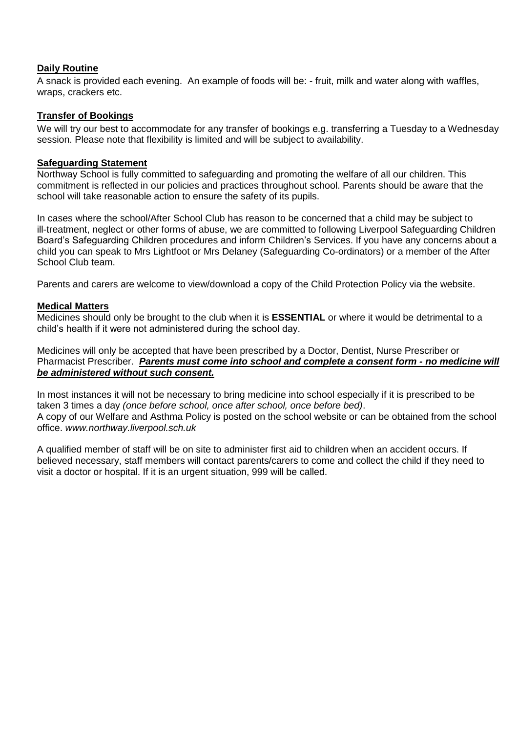## **Daily Routine**

A snack is provided each evening. An example of foods will be: - fruit, milk and water along with waffles, wraps, crackers etc.

### **Transfer of Bookings**

We will try our best to accommodate for any transfer of bookings e.g. transferring a Tuesday to a Wednesday session. Please note that flexibility is limited and will be subject to availability.

#### **Safeguarding Statement**

Northway School is fully committed to safeguarding and promoting the welfare of all our children. This commitment is reflected in our policies and practices throughout school. Parents should be aware that the school will take reasonable action to ensure the safety of its pupils.

In cases where the school/After School Club has reason to be concerned that a child may be subject to ill-treatment, neglect or other forms of abuse, we are committed to following Liverpool Safeguarding Children Board's Safeguarding Children procedures and inform Children's Services. If you have any concerns about a child you can speak to Mrs Lightfoot or Mrs Delaney (Safeguarding Co-ordinators) or a member of the After School Club team.

Parents and carers are welcome to view/download a copy of the Child Protection Policy via the website.

### **Medical Matters**

Medicines should only be brought to the club when it is **ESSENTIAL** or where it would be detrimental to a child's health if it were not administered during the school day.

Medicines will only be accepted that have been prescribed by a Doctor, Dentist, Nurse Prescriber or Pharmacist Prescriber. *Parents must come into school and complete a consent form - no medicine will be administered without such consent.* 

In most instances it will not be necessary to bring medicine into school especially if it is prescribed to be taken 3 times a day *(once before school, once after school, once before bed)*. A copy of our Welfare and Asthma Policy is posted on the school website or can be obtained from the school office. *www.northway.liverpool.sch.uk*

A qualified member of staff will be on site to administer first aid to children when an accident occurs. If believed necessary, staff members will contact parents/carers to come and collect the child if they need to visit a doctor or hospital. If it is an urgent situation, 999 will be called.